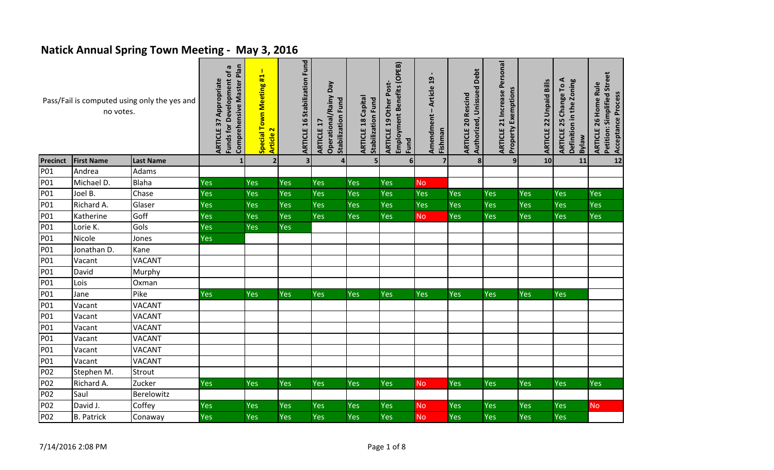## **Natick Annual Spring Town Meeting - May 3, 2016**

| Pass/Fail is computed using only the yes and<br>no votes. |                   | Comprehensive Master Plan<br>G<br>Funds for Development of<br><b>ARTICLE 37 Appropriate</b> | $\mathbf{I}$<br>Special Town Meeting #1<br>$\overline{\mathbf{r}}$<br>Article | <b>ARTICLE 16 Stabilization Fund</b> | Operational/Rainy Day<br>Stabilization Fund<br>ARTICLE 17 | <b>ARTICLE 18 Capital</b><br><b>Stabilization Fund</b> | Employment Benefits (OPEB)<br><b>ARTICLE 19 Other Post-</b><br>Fund | $\mathbf{a}$<br>- Article<br>Amendment<br>Fishman | Authorized, Unissued Debt<br><b>ARTICLE 20 Rescind</b> | <b>ARTICLE 21 Increase Personal</b><br><b>Property Exemptions</b> | <b>ARTICLE 22 Unpaid Bills</b> | <b>ARTICLE 25 Change To A</b><br>Definition in the Zoning<br><b>Welkg</b> | Petition: Simplified Street<br>ARTICLE 26 Home Rule<br>Acceptance Process |            |
|-----------------------------------------------------------|-------------------|---------------------------------------------------------------------------------------------|-------------------------------------------------------------------------------|--------------------------------------|-----------------------------------------------------------|--------------------------------------------------------|---------------------------------------------------------------------|---------------------------------------------------|--------------------------------------------------------|-------------------------------------------------------------------|--------------------------------|---------------------------------------------------------------------------|---------------------------------------------------------------------------|------------|
| Precinct                                                  | <b>First Name</b> | <b>Last Name</b>                                                                            | $\mathbf{1}$                                                                  | $\overline{2}$                       | $\overline{\mathbf{3}}$                                   | 4                                                      | 5 <sub>l</sub>                                                      | $6 \mid$                                          | $\overline{7}$                                         | $\boldsymbol{8}$                                                  | 9 <sub>l</sub>                 | 10                                                                        | 11                                                                        | 12         |
| P01                                                       | Andrea            | Adams                                                                                       |                                                                               |                                      |                                                           |                                                        |                                                                     |                                                   |                                                        |                                                                   |                                |                                                                           |                                                                           |            |
| P01                                                       | Michael D.        | <b>Blaha</b>                                                                                | <b>Yes</b>                                                                    | Yes                                  | Yes                                                       | Yes                                                    | <b>Yes</b>                                                          | Yes                                               | <b>No</b>                                              |                                                                   |                                |                                                                           |                                                                           |            |
| P01                                                       | Joel B.           | Chase                                                                                       | Yes                                                                           | Yes                                  | Yes                                                       | Yes                                                    | Yes                                                                 | Yes                                               | Yes                                                    | Yes                                                               | Yes                            | Yes                                                                       | Yes                                                                       | Yes        |
| P01                                                       | Richard A.        | Glaser                                                                                      | Yes                                                                           | Yes                                  | Yes                                                       | Yes                                                    | <b>Yes</b>                                                          | Yes                                               | Yes                                                    | Yes                                                               | Yes                            | Yes                                                                       | Yes                                                                       | Yes        |
| P01                                                       | Katherine         | Goff                                                                                        | Yes                                                                           | Yes                                  | Yes                                                       | Yes                                                    | Yes                                                                 | Yes                                               | No                                                     | Yes                                                               | Yes                            | Yes                                                                       | Yes                                                                       | Yes        |
| P01                                                       | Lorie K.          | Gols                                                                                        | Yes                                                                           | Yes                                  | Yes                                                       |                                                        |                                                                     |                                                   |                                                        |                                                                   |                                |                                                                           |                                                                           |            |
| P01                                                       | Nicole            | Jones                                                                                       | Yes                                                                           |                                      |                                                           |                                                        |                                                                     |                                                   |                                                        |                                                                   |                                |                                                                           |                                                                           |            |
| P01                                                       | Jonathan D.       | Kane                                                                                        |                                                                               |                                      |                                                           |                                                        |                                                                     |                                                   |                                                        |                                                                   |                                |                                                                           |                                                                           |            |
| P01                                                       | Vacant            | <b>VACANT</b>                                                                               |                                                                               |                                      |                                                           |                                                        |                                                                     |                                                   |                                                        |                                                                   |                                |                                                                           |                                                                           |            |
| P01                                                       | David             | Murphy                                                                                      |                                                                               |                                      |                                                           |                                                        |                                                                     |                                                   |                                                        |                                                                   |                                |                                                                           |                                                                           |            |
| P01                                                       | Lois              | Oxman                                                                                       |                                                                               |                                      |                                                           |                                                        |                                                                     |                                                   |                                                        |                                                                   |                                |                                                                           |                                                                           |            |
| P01                                                       | Jane              | Pike                                                                                        | Yes                                                                           | Yes                                  | Yes                                                       | Yes                                                    | Yes                                                                 | Yes                                               | <b>Yes</b>                                             | Yes                                                               | <b>Yes</b>                     | <b>Yes</b>                                                                | <b>Yes</b>                                                                |            |
| P01                                                       | Vacant            | <b>VACANT</b>                                                                               |                                                                               |                                      |                                                           |                                                        |                                                                     |                                                   |                                                        |                                                                   |                                |                                                                           |                                                                           |            |
| P01                                                       | Vacant            | <b>VACANT</b>                                                                               |                                                                               |                                      |                                                           |                                                        |                                                                     |                                                   |                                                        |                                                                   |                                |                                                                           |                                                                           |            |
| P01                                                       | Vacant            | <b>VACANT</b>                                                                               |                                                                               |                                      |                                                           |                                                        |                                                                     |                                                   |                                                        |                                                                   |                                |                                                                           |                                                                           |            |
| P01                                                       | Vacant            | <b>VACANT</b>                                                                               |                                                                               |                                      |                                                           |                                                        |                                                                     |                                                   |                                                        |                                                                   |                                |                                                                           |                                                                           |            |
| P01                                                       | Vacant            | <b>VACANT</b>                                                                               |                                                                               |                                      |                                                           |                                                        |                                                                     |                                                   |                                                        |                                                                   |                                |                                                                           |                                                                           |            |
| P01                                                       | Vacant            | <b>VACANT</b>                                                                               |                                                                               |                                      |                                                           |                                                        |                                                                     |                                                   |                                                        |                                                                   |                                |                                                                           |                                                                           |            |
| P02                                                       | Stephen M.        | Strout                                                                                      |                                                                               |                                      |                                                           |                                                        |                                                                     |                                                   |                                                        |                                                                   |                                |                                                                           |                                                                           |            |
| P02                                                       | Richard A.        | Zucker                                                                                      | <b>Yes</b>                                                                    | <b>Yes</b>                           | <b>Yes</b>                                                | <b>Yes</b>                                             | <b>Yes</b>                                                          | Yes                                               | <b>No</b>                                              | <b>Yes</b>                                                        | Yes                            | Yes                                                                       | <b>Yes</b>                                                                | <b>Yes</b> |
| P02                                                       | Saul              | Berelowitz                                                                                  |                                                                               |                                      |                                                           |                                                        |                                                                     |                                                   |                                                        |                                                                   |                                |                                                                           |                                                                           |            |
| P02                                                       | David J.          | Coffey                                                                                      | Yes                                                                           | Yes                                  | Yes                                                       | Yes                                                    | Yes                                                                 | Yes                                               | <b>No</b>                                              | Yes                                                               | Yes                            | Yes                                                                       | Yes                                                                       | <b>No</b>  |
| P02                                                       | <b>B.</b> Patrick | Conaway                                                                                     | Yes                                                                           | Yes                                  | Yes                                                       | Yes                                                    | Yes                                                                 | Yes                                               | No                                                     | Yes                                                               | Yes                            | Yes                                                                       | Yes                                                                       |            |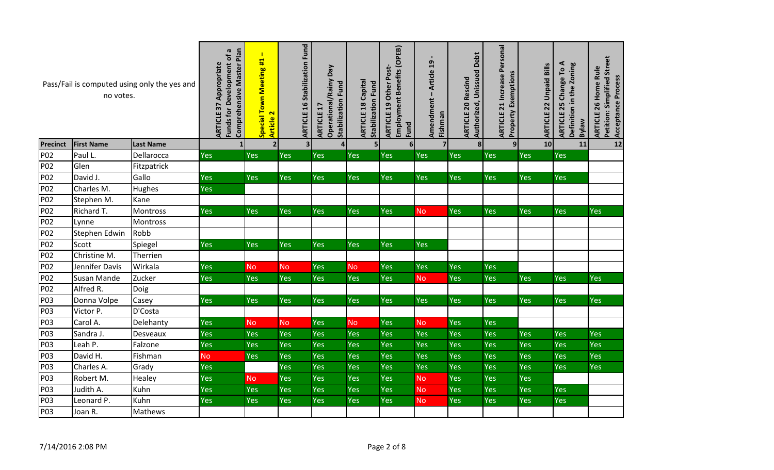| Pass/Fail is computed using only the yes and<br>no votes. |                   |                  | Comprehensive Master Plan<br>ā<br>Funds for Development of<br><b>ARTICLE 37 Appropriate</b> | $\mathbf{I}$<br>Special Town Meeting #1<br>Article 2 | <b>ARTICLE 16 Stabilization Fund</b> | Ved<br>Operational/Rainy<br><b>Stabilization Fund</b><br><b>ARTICLE 17</b> | <b>ARTICLE 18 Capital</b><br><b>Stabilization Fund</b> | Employment Benefits (OPEB)<br>ARTICLE 19 Other Post-<br>Fund | - Article 19<br>Amendment<br>Fishman | Debt<br>Authorized, Unissued<br><b>ARTICLE 20 Rescind</b> | <b>ARTICLE 21 Increase Personal</b><br><b>Property Exemptions</b> | <b>ARTICLE 22 Unpaid Bills</b> | ⋖<br>Definition in the Zoning<br>ARTICLE 25 Change To<br><b>Bylaw</b> | Petition: Simplified Street<br>ARTICLE 26 Home Rule<br>Acceptance Process |
|-----------------------------------------------------------|-------------------|------------------|---------------------------------------------------------------------------------------------|------------------------------------------------------|--------------------------------------|----------------------------------------------------------------------------|--------------------------------------------------------|--------------------------------------------------------------|--------------------------------------|-----------------------------------------------------------|-------------------------------------------------------------------|--------------------------------|-----------------------------------------------------------------------|---------------------------------------------------------------------------|
| <b>Precinct</b>                                           | <b>First Name</b> | <b>Last Name</b> | $\mathbf{1}$                                                                                | $\overline{2}$                                       | 3 <sup>1</sup>                       |                                                                            | 5                                                      | 6 <sup>1</sup>                                               | $\overline{\mathbf{z}}$              | 8                                                         | 9                                                                 | 10                             | 11                                                                    | 12                                                                        |
| P02                                                       | Paul L.           | Dellarocca       | Yes                                                                                         | Yes                                                  | Yes                                  | Yes                                                                        | <b>Yes</b>                                             | Yes                                                          | Yes                                  | Yes                                                       | Yes                                                               | Yes                            | <b>Yes</b>                                                            |                                                                           |
| P02                                                       | Glen              | Fitzpatrick      |                                                                                             |                                                      |                                      |                                                                            |                                                        |                                                              |                                      |                                                           |                                                                   |                                |                                                                       |                                                                           |
| P02                                                       | David J.          | Gallo            | Yes                                                                                         | Yes                                                  | Yes                                  | Yes                                                                        | Yes                                                    | <b>Yes</b>                                                   | Yes                                  | Yes                                                       | Yes                                                               | <b>Yes</b>                     | Yes                                                                   |                                                                           |
| P02                                                       | Charles M.        | <b>Hughes</b>    | Yes                                                                                         |                                                      |                                      |                                                                            |                                                        |                                                              |                                      |                                                           |                                                                   |                                |                                                                       |                                                                           |
| P02                                                       | Stephen M.        | Kane             |                                                                                             |                                                      |                                      |                                                                            |                                                        |                                                              |                                      |                                                           |                                                                   |                                |                                                                       |                                                                           |
| P02                                                       | Richard T.        | Montross         | Yes                                                                                         | Yes                                                  | <b>Yes</b>                           | <b>Yes</b>                                                                 | <b>Yes</b>                                             | Yes                                                          | <b>No</b>                            | Yes                                                       | Yes                                                               | <b>Yes</b>                     | <b>Yes</b>                                                            | <b>Yes</b>                                                                |
| P02                                                       | Lynne             | Montross         |                                                                                             |                                                      |                                      |                                                                            |                                                        |                                                              |                                      |                                                           |                                                                   |                                |                                                                       |                                                                           |
| P02                                                       | Stephen Edwin     | Robb             |                                                                                             |                                                      |                                      |                                                                            |                                                        |                                                              |                                      |                                                           |                                                                   |                                |                                                                       |                                                                           |
| P02                                                       | Scott             | Spiegel          | <b>Yes</b>                                                                                  | <b>Yes</b>                                           | Yes                                  | Yes                                                                        | <b>Yes</b>                                             | <b>Yes</b>                                                   | Yes                                  |                                                           |                                                                   |                                |                                                                       |                                                                           |
| P02                                                       | Christine M.      | Therrien         |                                                                                             |                                                      |                                      |                                                                            |                                                        |                                                              |                                      |                                                           |                                                                   |                                |                                                                       |                                                                           |
| P02                                                       | Jennifer Davis    | Wirkala          | Yes                                                                                         | <b>No</b>                                            | <b>No</b>                            | Yes                                                                        | <b>No</b>                                              | Yes                                                          | <b>Yes</b>                           | Yes                                                       | Yes                                                               |                                |                                                                       |                                                                           |
| P02                                                       | Susan Mande       | Zucker           | Yes                                                                                         | Yes                                                  | Yes                                  | Yes                                                                        | Yes                                                    | Yes                                                          | <b>No</b>                            | Yes                                                       | Yes                                                               | <b>Yes</b>                     | Yes                                                                   | <b>Yes</b>                                                                |
| P02                                                       | Alfred R.         | Doig             |                                                                                             |                                                      |                                      |                                                                            |                                                        |                                                              |                                      |                                                           |                                                                   |                                |                                                                       |                                                                           |
| P03                                                       | Donna Volpe       | Casey            | Yes                                                                                         | Yes                                                  | <b>Yes</b>                           | Yes                                                                        | Yes                                                    | Yes                                                          | <b>Yes</b>                           | Yes                                                       | Yes                                                               | <b>Yes</b>                     | Yes                                                                   | Yes                                                                       |
| P03                                                       | Victor P.         | D'Costa          |                                                                                             |                                                      |                                      |                                                                            |                                                        |                                                              |                                      |                                                           |                                                                   |                                |                                                                       |                                                                           |
| P03                                                       | Carol A.          | Delehanty        | Yes                                                                                         | <b>No</b>                                            | <b>No</b>                            | Yes                                                                        | <b>No</b>                                              | Yes                                                          | <b>No</b>                            | Yes                                                       | Yes                                                               |                                |                                                                       |                                                                           |
| P03                                                       | Sandra J.         | Desveaux         | Yes                                                                                         | Yes                                                  | Yes                                  | Yes                                                                        | Yes                                                    | Yes                                                          | Yes                                  | Yes                                                       | Yes                                                               | Yes                            | Yes                                                                   | <b>Yes</b>                                                                |
| P03                                                       | Leah P.           | Falzone          | Yes                                                                                         | Yes                                                  | Yes                                  | Yes                                                                        | Yes                                                    | Yes                                                          | Yes                                  | Yes                                                       | Yes                                                               | Yes                            | Yes                                                                   | Yes                                                                       |
| P03                                                       | David H.          | Fishman          | <b>No</b>                                                                                   | Yes                                                  | Yes                                  | Yes                                                                        | Yes                                                    | Yes                                                          | Yes                                  | Yes                                                       | Yes                                                               | Yes                            | Yes                                                                   | <b>Yes</b>                                                                |
| P03                                                       | Charles A.        | Grady            | Yes                                                                                         |                                                      | Yes                                  | Yes                                                                        | Yes                                                    | <b>Yes</b>                                                   | Yes                                  | Yes                                                       | Yes                                                               | <b>Yes</b>                     | Yes                                                                   | <b>Yes</b>                                                                |
| P03                                                       | Robert M.         | Healey           | Yes                                                                                         | <b>No</b>                                            | Yes                                  | Yes                                                                        | Yes                                                    | <b>Yes</b>                                                   | <b>No</b>                            | Yes                                                       | Yes                                                               | Yes                            |                                                                       |                                                                           |
| P03                                                       | Judith A.         | Kuhn             | Yes                                                                                         | <b>Yes</b>                                           | Yes                                  | Yes                                                                        | Yes                                                    | <b>Yes</b>                                                   | <b>No</b>                            | Yes                                                       | Yes                                                               | Yes                            | Yes                                                                   |                                                                           |
| P03                                                       | Leonard P.        | Kuhn             | Yes                                                                                         | Yes                                                  | Yes                                  | Yes                                                                        | Yes                                                    | Yes                                                          | <b>No</b>                            | Yes                                                       | Yes                                                               | Yes                            | Yes                                                                   |                                                                           |
| P03                                                       | Joan R.           | Mathews          |                                                                                             |                                                      |                                      |                                                                            |                                                        |                                                              |                                      |                                                           |                                                                   |                                |                                                                       |                                                                           |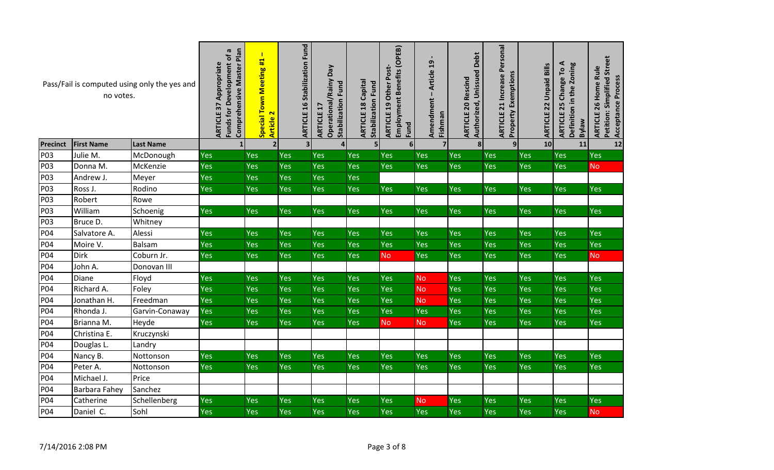| Pass/Fail is computed using only the yes and<br>no votes. |                   |                  | Comprehensive Master Plan<br>$\pmb{\varpi}$<br>Funds for Development of<br>Appropriate<br><b>ARTICLE 37</b> | $\mathbf{I}$<br>Special Town Meeting #1<br>$\overline{\mathbf{r}}$<br><b>Article</b> | <b>ARTICLE 16 Stabilization Fund</b> | Ved<br>Operational/Rainy<br>Stabilization Fund<br>H<br><b>ARTICLE</b> | <b>ARTICLE 18 Capital</b><br><b>Stabilization Fund</b> | Employment Benefits (OPEB)<br><b>ARTICLE 19 Other Post-</b><br>Fund | - Article 19<br>Amendment<br>Fishman | Debt<br>Authorized, Unissued<br><b>ARTICLE 20 Rescind</b> | <b>ARTICLE 21 Increase Personal</b><br><b>Property Exemptions</b> | <b>Unpaid Bills</b><br>ARTICLE 22 | ⋖<br>Definition in the Zoning<br>ARTICLE 25 Change To<br><b>Bylaw</b> | Petition: Simplified Street<br>ARTICLE 26 Home Rule<br>Acceptance Process |
|-----------------------------------------------------------|-------------------|------------------|-------------------------------------------------------------------------------------------------------------|--------------------------------------------------------------------------------------|--------------------------------------|-----------------------------------------------------------------------|--------------------------------------------------------|---------------------------------------------------------------------|--------------------------------------|-----------------------------------------------------------|-------------------------------------------------------------------|-----------------------------------|-----------------------------------------------------------------------|---------------------------------------------------------------------------|
| <b>Precinct</b>                                           | <b>First Name</b> | <b>Last Name</b> |                                                                                                             | $\overline{2}$                                                                       | 3 <sup>1</sup>                       |                                                                       | 5 <sub>l</sub>                                         | $6 \mid$                                                            | $\overline{7}$                       | 8                                                         | 9                                                                 | 10                                | 11                                                                    | 12                                                                        |
| P03                                                       | Julie M.          | McDonough        | <b>Yes</b>                                                                                                  | Yes                                                                                  | <b>Yes</b>                           | Yes                                                                   | <b>Yes</b>                                             | Yes                                                                 | Yes                                  | Yes                                                       | Yes                                                               | Yes                               | Yes                                                                   | Yes                                                                       |
| P03                                                       | Donna M.          | McKenzie         | <b>Yes</b>                                                                                                  | Yes                                                                                  | Yes                                  | <b>Yes</b>                                                            | Yes                                                    | <b>Yes</b>                                                          | <b>Yes</b>                           | Yes                                                       | Yes                                                               | <b>Yes</b>                        | <b>Yes</b>                                                            | <b>No</b>                                                                 |
| P03                                                       | Andrew J.         | Meyer            | <b>Yes</b>                                                                                                  | Yes                                                                                  | Yes                                  | Yes                                                                   | Yes                                                    |                                                                     |                                      |                                                           |                                                                   |                                   |                                                                       |                                                                           |
| P03                                                       | Ross J.           | Rodino           | Yes                                                                                                         | <b>Yes</b>                                                                           | Yes                                  | Yes                                                                   | Yes                                                    | Yes                                                                 | <b>Yes</b>                           | Yes                                                       | Yes                                                               | <b>Yes</b>                        | Yes                                                                   | <b>Yes</b>                                                                |
| P03                                                       | Robert            | Rowe             |                                                                                                             |                                                                                      |                                      |                                                                       |                                                        |                                                                     |                                      |                                                           |                                                                   |                                   |                                                                       |                                                                           |
| P03                                                       | William           | Schoenig         | Yes                                                                                                         | <b>Yes</b>                                                                           | Yes                                  | <b>Yes</b>                                                            | <b>Yes</b>                                             | Yes                                                                 | Yes                                  | Yes                                                       | Yes                                                               | Yes                               | Yes                                                                   | <b>Yes</b>                                                                |
| P03                                                       | Bruce D.          | Whitney          |                                                                                                             |                                                                                      |                                      |                                                                       |                                                        |                                                                     |                                      |                                                           |                                                                   |                                   |                                                                       |                                                                           |
| P04                                                       | Salvatore A.      | Alessi           | <b>Yes</b>                                                                                                  | <b>Yes</b>                                                                           | Yes                                  | Yes                                                                   | Yes                                                    | Yes                                                                 | Yes                                  | Yes                                                       | Yes                                                               | Yes                               | Yes                                                                   | <b>Yes</b>                                                                |
| P04                                                       | Moire V.          | Balsam           | Yes                                                                                                         | Yes                                                                                  | Yes                                  | Yes                                                                   | <b>Yes</b>                                             | Yes                                                                 | Yes                                  | Yes                                                       | Yes                                                               | <b>Yes</b>                        | Yes                                                                   | <b>Yes</b>                                                                |
| P04                                                       | Dirk              | Coburn Jr.       | <b>Yes</b>                                                                                                  | <b>Yes</b>                                                                           | <b>Yes</b>                           | <b>Yes</b>                                                            | Yes                                                    | <b>No</b>                                                           | Yes                                  | Yes                                                       | Yes                                                               | <b>Yes</b>                        | <b>Yes</b>                                                            | <b>No</b>                                                                 |
| P04                                                       | John A.           | Donovan III      |                                                                                                             |                                                                                      |                                      |                                                                       |                                                        |                                                                     |                                      |                                                           |                                                                   |                                   |                                                                       |                                                                           |
| P04                                                       | Diane             | Floyd            | Yes                                                                                                         | Yes                                                                                  | Yes                                  | Yes                                                                   | Yes                                                    | Yes                                                                 | <b>No</b>                            | Yes                                                       | Yes                                                               | Yes                               | Yes                                                                   | <b>Yes</b>                                                                |
| P04                                                       | Richard A.        | Foley            | Yes                                                                                                         | Yes                                                                                  | Yes                                  | Yes                                                                   | Yes                                                    | Yes                                                                 | <b>No</b>                            | Yes                                                       | Yes                                                               | Yes                               | Yes                                                                   | Yes                                                                       |
| P04                                                       | Jonathan H.       | Freedman         | <b>Yes</b>                                                                                                  | Yes                                                                                  | Yes                                  | <b>Yes</b>                                                            | <b>Yes</b>                                             | <b>Yes</b>                                                          | <b>No</b>                            | Yes                                                       | Yes                                                               | <b>Yes</b>                        | Yes                                                                   | Yes                                                                       |
| P04                                                       | Rhonda J.         | Garvin-Conaway   | Yes                                                                                                         | Yes                                                                                  | <b>Yes</b>                           | Yes                                                                   | Yes                                                    | <b>Yes</b>                                                          | Yes                                  | Yes                                                       | Yes                                                               | <b>Yes</b>                        | Yes                                                                   | <b>Yes</b>                                                                |
| P04                                                       | Brianna M.        | Heyde            | <b>Yes</b>                                                                                                  | Yes                                                                                  | <b>Yes</b>                           | <b>Yes</b>                                                            | <b>Yes</b>                                             | <b>No</b>                                                           | <b>No</b>                            | Yes                                                       | Yes                                                               | <b>Yes</b>                        | <b>Yes</b>                                                            | <b>Yes</b>                                                                |
| P04                                                       | Christina E.      | Kruczynski       |                                                                                                             |                                                                                      |                                      |                                                                       |                                                        |                                                                     |                                      |                                                           |                                                                   |                                   |                                                                       |                                                                           |
| P04                                                       | Douglas L.        | Landry           |                                                                                                             |                                                                                      |                                      |                                                                       |                                                        |                                                                     |                                      |                                                           |                                                                   |                                   |                                                                       |                                                                           |
| P04                                                       | Nancy B.          | Nottonson        | Yes                                                                                                         | Yes                                                                                  | Yes                                  | Yes                                                                   | <b>Yes</b>                                             | Yes                                                                 | Yes                                  | Yes                                                       | Yes                                                               | <b>Yes</b>                        | Yes                                                                   | Yes                                                                       |
| P04                                                       | Peter A.          | Nottonson        | <b>Yes</b>                                                                                                  | Yes                                                                                  | Yes                                  | <b>Yes</b>                                                            | <b>Yes</b>                                             | <b>Yes</b>                                                          | Yes                                  | Yes                                                       | Yes                                                               | <b>Yes</b>                        | Yes                                                                   | <b>Yes</b>                                                                |
| P04                                                       | Michael J.        | Price            |                                                                                                             |                                                                                      |                                      |                                                                       |                                                        |                                                                     |                                      |                                                           |                                                                   |                                   |                                                                       |                                                                           |
| P04                                                       | Barbara Fahey     | Sanchez          |                                                                                                             |                                                                                      |                                      |                                                                       |                                                        |                                                                     |                                      |                                                           |                                                                   |                                   |                                                                       |                                                                           |
| P04                                                       | Catherine         | Schellenberg     | <b>Yes</b>                                                                                                  | <b>Yes</b>                                                                           | <b>Yes</b>                           | Yes                                                                   | Yes                                                    | Yes                                                                 | <b>No</b>                            | Yes                                                       | Yes                                                               | <b>Yes</b>                        | Yes                                                                   | Yes                                                                       |
| P04                                                       | Daniel C.         | Sohl             | <b>Yes</b>                                                                                                  | Yes                                                                                  | Yes                                  | <b>Yes</b>                                                            | Yes                                                    | Yes                                                                 | Yes                                  | Yes                                                       | Yes                                                               | <b>Yes</b>                        | Yes                                                                   | <b>No</b>                                                                 |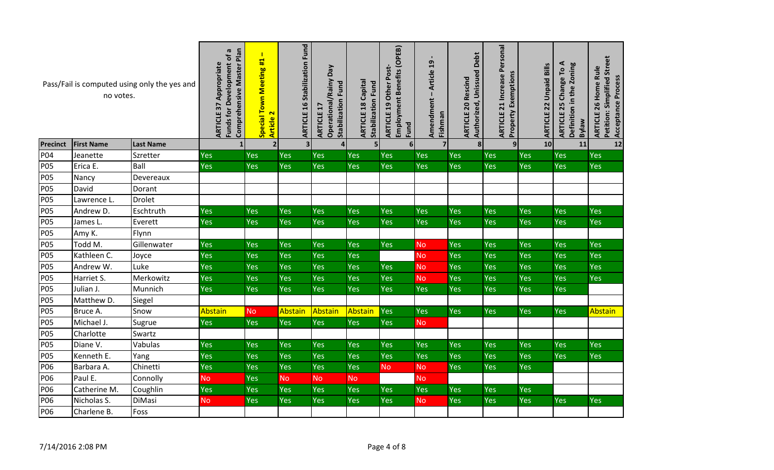| Pass/Fail is computed using only the yes and<br>no votes. |                   |                  | Comprehensive Master Plan<br>G<br>Funds for Development of<br><b>ARTICLE 37 Appropriate</b> | $\mathbf{I}$<br>Special Town Meeting #1<br>Article 2 | <b>ARTICLE 16 Stabilization Fund</b> | Ved<br>Operational/Rainy<br><b>Stabilization Fund</b><br>ARTICLE 1 | <b>ARTICLE 18 Capital</b><br>Stabilization Fund | Employment Benefits (OPEB)<br><b>ARTICLE 19 Other Post-</b><br>Fund | $\blacksquare$<br>Article 19<br>Amendment<br>Fishman | Debt<br>Authorized, Unissued<br><b>ARTICLE 20 Rescind</b> | <b>ARTICLE 21 Increase Personal</b><br><b>Property Exemptions</b> | <b>ARTICLE 22 Unpaid Bills</b> | ⋖<br>Definition in the Zoning<br>ARTICLE 25 Change To<br><b>welkg</b> | Petition: Simplified Street<br><b>ARTICLE 26 Home Rule</b><br>Acceptance Process |
|-----------------------------------------------------------|-------------------|------------------|---------------------------------------------------------------------------------------------|------------------------------------------------------|--------------------------------------|--------------------------------------------------------------------|-------------------------------------------------|---------------------------------------------------------------------|------------------------------------------------------|-----------------------------------------------------------|-------------------------------------------------------------------|--------------------------------|-----------------------------------------------------------------------|----------------------------------------------------------------------------------|
| <b>Precinct</b>                                           | <b>First Name</b> | <b>Last Name</b> | $\mathbf{1}$                                                                                | 2                                                    | 3 <sup>1</sup>                       |                                                                    | 5 <sub>l</sub>                                  | 6 <sup>1</sup>                                                      | $\overline{7}$                                       | $\boldsymbol{8}$                                          | 9                                                                 | 10                             | 11                                                                    | 12                                                                               |
| P04                                                       | Jeanette          | Szretter         | Yes                                                                                         | Yes                                                  | Yes                                  | Yes                                                                | Yes                                             | Yes                                                                 | Yes                                                  | Yes                                                       | Yes                                                               | Yes                            | Yes                                                                   | Yes                                                                              |
| <b>P05</b>                                                | Erica E.          | Ball             | <b>Yes</b>                                                                                  | Yes                                                  | <b>Yes</b>                           | Yes                                                                | <b>Yes</b>                                      | <b>Yes</b>                                                          | Yes                                                  | Yes                                                       | Yes                                                               | Yes                            | <b>Yes</b>                                                            | <b>Yes</b>                                                                       |
| <b>P05</b>                                                | Nancy             | Devereaux        |                                                                                             |                                                      |                                      |                                                                    |                                                 |                                                                     |                                                      |                                                           |                                                                   |                                |                                                                       |                                                                                  |
| <b>P05</b>                                                | David             | Dorant           |                                                                                             |                                                      |                                      |                                                                    |                                                 |                                                                     |                                                      |                                                           |                                                                   |                                |                                                                       |                                                                                  |
| <b>P05</b>                                                | Lawrence L.       | <b>Drolet</b>    |                                                                                             |                                                      |                                      |                                                                    |                                                 |                                                                     |                                                      |                                                           |                                                                   |                                |                                                                       |                                                                                  |
| <b>P05</b>                                                | Andrew D.         | Eschtruth        | Yes                                                                                         | Yes                                                  | Yes                                  | <b>Yes</b>                                                         | Yes                                             | <b>Yes</b>                                                          | Yes                                                  | Yes                                                       | Yes                                                               | Yes                            | Yes                                                                   | <b>Yes</b>                                                                       |
| <b>P05</b>                                                | James L.          | Everett          | <b>Yes</b>                                                                                  | Yes                                                  | <b>Yes</b>                           | Yes                                                                | <b>Yes</b>                                      | Yes                                                                 | Yes                                                  | Yes                                                       | Yes                                                               | Yes                            | <b>Yes</b>                                                            | <b>Yes</b>                                                                       |
| <b>P05</b>                                                | Amy K.            | Flynn            |                                                                                             |                                                      |                                      |                                                                    |                                                 |                                                                     |                                                      |                                                           |                                                                   |                                |                                                                       |                                                                                  |
| <b>P05</b>                                                | Todd M.           | Gillenwater      | <b>Yes</b>                                                                                  | <b>Yes</b>                                           | Yes                                  | Yes                                                                | <b>Yes</b>                                      | Yes                                                                 | <b>No</b>                                            | Yes                                                       | <b>Yes</b>                                                        | Yes                            | Yes                                                                   | <b>Yes</b>                                                                       |
| <b>P05</b>                                                | Kathleen C.       | Joyce            | Yes                                                                                         | Yes                                                  | <b>Yes</b>                           | Yes                                                                | Yes                                             |                                                                     | <b>No</b>                                            | Yes                                                       | Yes                                                               | Yes                            | Yes                                                                   | <b>Yes</b>                                                                       |
| <b>P05</b>                                                | Andrew W.         | Luke             | Yes                                                                                         | Yes                                                  | Yes                                  | Yes                                                                | <b>Yes</b>                                      | <b>Yes</b>                                                          | <b>No</b>                                            | Yes                                                       | Yes                                                               | <b>Yes</b>                     | <b>Yes</b>                                                            | <b>Yes</b>                                                                       |
| <b>P05</b>                                                | Harriet S.        | Merkowitz        | Yes                                                                                         | Yes                                                  | Yes                                  | Yes                                                                | Yes                                             | <b>Yes</b>                                                          | <b>No</b>                                            | Yes                                                       | Yes                                                               | Yes                            | <b>Yes</b>                                                            | <b>Yes</b>                                                                       |
| <b>P05</b>                                                | Julian J.         | Munnich          | <b>Yes</b>                                                                                  | <b>Yes</b>                                           | Yes                                  | Yes                                                                | Yes                                             | Yes                                                                 | Yes                                                  | Yes                                                       | <b>Yes</b>                                                        | Yes                            | <b>Yes</b>                                                            |                                                                                  |
| <b>P05</b>                                                | Matthew D.        | Siegel           |                                                                                             |                                                      |                                      |                                                                    |                                                 |                                                                     |                                                      |                                                           |                                                                   |                                |                                                                       |                                                                                  |
| <b>P05</b>                                                | Bruce A.          | Snow             | Abstain                                                                                     | <b>No</b>                                            | Abstain                              | Abstain                                                            | Abstain                                         | Yes                                                                 | <b>Yes</b>                                           | Yes                                                       | <b>Yes</b>                                                        | Yes                            | <b>Yes</b>                                                            | <b>Abstain</b>                                                                   |
| <b>P05</b>                                                | Michael J.        | Sugrue           | Yes                                                                                         | Yes                                                  | Yes                                  | Yes                                                                | Yes                                             | <b>Yes</b>                                                          | <b>No</b>                                            |                                                           |                                                                   |                                |                                                                       |                                                                                  |
| <b>P05</b>                                                | Charlotte         | Swartz           |                                                                                             |                                                      |                                      |                                                                    |                                                 |                                                                     |                                                      |                                                           |                                                                   |                                |                                                                       |                                                                                  |
| <b>P05</b>                                                | Diane V.          | Vabulas          | Yes                                                                                         | <b>Yes</b>                                           | Yes                                  | Yes                                                                | <b>Yes</b>                                      | <b>Yes</b>                                                          | Yes                                                  | Yes                                                       | Yes                                                               | Yes                            | Yes                                                                   | <b>Yes</b>                                                                       |
| <b>P05</b>                                                | Kenneth E.        | Yang             | Yes                                                                                         | Yes                                                  | <b>Yes</b>                           | Yes                                                                | Yes                                             | Yes                                                                 | Yes                                                  | Yes                                                       | Yes                                                               | Yes                            | <b>Yes</b>                                                            | <b>Yes</b>                                                                       |
| P06                                                       | Barbara A.        | Chinetti         | Yes                                                                                         | Yes                                                  | Yes                                  | Yes                                                                | Yes                                             | <b>No</b>                                                           | <b>No</b>                                            | Yes                                                       | Yes                                                               | Yes                            |                                                                       |                                                                                  |
| P06                                                       | Paul E.           | Connolly         | <b>No</b>                                                                                   | Yes                                                  | <b>No</b>                            | <b>No</b>                                                          | <b>No</b>                                       |                                                                     | <b>No</b>                                            |                                                           |                                                                   |                                |                                                                       |                                                                                  |
| P06                                                       | Catherine M.      | Coughlin         | Yes                                                                                         | Yes                                                  | Yes                                  | Yes                                                                | Yes                                             | Yes                                                                 | Yes                                                  | Yes                                                       | Yes                                                               | Yes                            |                                                                       |                                                                                  |
| P06                                                       | Nicholas S.       | <b>DiMasi</b>    | <b>No</b>                                                                                   | Yes                                                  | <b>Yes</b>                           | Yes                                                                | Yes                                             | Yes                                                                 | <b>No</b>                                            | Yes                                                       | Yes                                                               | Yes                            | Yes                                                                   | <b>Yes</b>                                                                       |
| P06                                                       | Charlene B.       | Foss             |                                                                                             |                                                      |                                      |                                                                    |                                                 |                                                                     |                                                      |                                                           |                                                                   |                                |                                                                       |                                                                                  |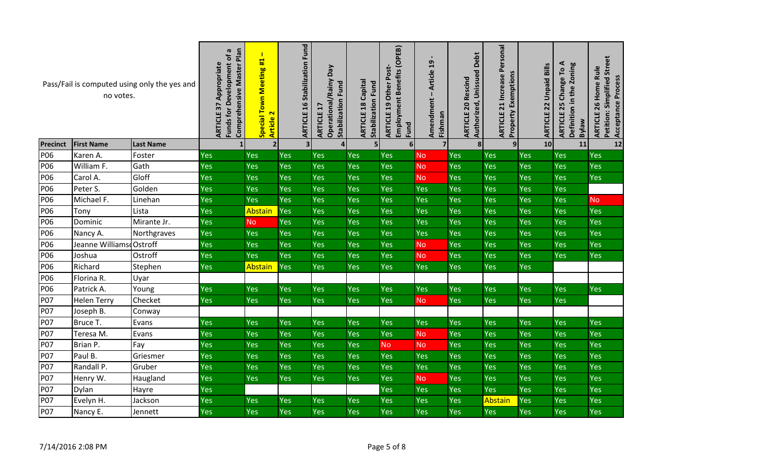| Pass/Fail is computed using only the yes and<br>no votes. |                         |                  | Comprehensive Master Plan<br>$\boldsymbol{\varpi}$<br>Funds for Development of<br>Appropriate<br>ARTICLE 37 | $\mathbf{I}$<br>Special Town Meeting #1<br>$\overline{\mathbf{r}}$<br>Article | <b>ARTICLE 16 Stabilization Fund</b> | Ved<br>Operational/Rainy<br><b>Stabilization Fund</b><br>ARTICLE | <b>ARTICLE 18 Capital</b><br><b>Stabilization Fund</b> | Employment Benefits (OPEB)<br>Other Post-<br><b>ARTICLE 19</b><br>Fund | Article 19<br>Amendment<br>Fishman | <b>Debt</b><br>Authorized, Unissued<br><b>ARTICLE 20 Rescind</b> | <b>ARTICLE 21 Increase Personal</b><br><b>Property Exemptions</b> | <b>Unpaid Bills</b><br><b>ARTICLE 22</b> | ⋖<br>Definition in the Zoning<br>Гo<br>Change <sup>-</sup><br><b>ARTICLE 25</b><br><b>Bylaw</b> | Petition: Simplified Street<br>ARTICLE 26 Home Rule<br><b>Acceptance Process</b> |
|-----------------------------------------------------------|-------------------------|------------------|-------------------------------------------------------------------------------------------------------------|-------------------------------------------------------------------------------|--------------------------------------|------------------------------------------------------------------|--------------------------------------------------------|------------------------------------------------------------------------|------------------------------------|------------------------------------------------------------------|-------------------------------------------------------------------|------------------------------------------|-------------------------------------------------------------------------------------------------|----------------------------------------------------------------------------------|
| <b>Precinct</b>                                           | <b>First Name</b>       | <b>Last Name</b> | $\mathbf{1}$                                                                                                | $\overline{2}$                                                                | 3 <sup>1</sup>                       |                                                                  | 5 <sub>l</sub>                                         | $6 \mid$                                                               | $\overline{7}$                     | 8                                                                | 9                                                                 | 10                                       | 11                                                                                              | $12$                                                                             |
| P06                                                       | Karen A.                | Foster           | <b>Yes</b>                                                                                                  | <b>Yes</b>                                                                    | Yes                                  | Yes                                                              | <b>Yes</b>                                             | <b>Yes</b>                                                             | <b>No</b>                          | Yes                                                              | Yes                                                               | Yes                                      | Yes                                                                                             | Yes                                                                              |
| P06                                                       | William F.              | Gath             | Yes                                                                                                         | Yes                                                                           | Yes                                  | Yes                                                              | <b>Yes</b>                                             | Yes                                                                    | <b>No</b>                          | Yes                                                              | Yes                                                               | Yes                                      | Yes                                                                                             | Yes                                                                              |
| P06                                                       | Carol A.                | Gloff            | Yes                                                                                                         | <b>Yes</b>                                                                    | Yes                                  | Yes                                                              | Yes                                                    | <b>Yes</b>                                                             | <b>No</b>                          | Yes                                                              | Yes                                                               | Yes                                      | Yes                                                                                             | <b>Yes</b>                                                                       |
| P06                                                       | Peter S.                | Golden           | <b>Yes</b>                                                                                                  | Yes                                                                           | Yes                                  | <b>Yes</b>                                                       | <b>Yes</b>                                             | <b>Yes</b>                                                             | Yes                                | Yes                                                              | Yes                                                               | Yes                                      | Yes                                                                                             |                                                                                  |
| P06                                                       | Michael F.              | Linehan          | <b>Yes</b>                                                                                                  | Yes                                                                           | Yes                                  | Yes                                                              | Yes                                                    | Yes                                                                    | Yes                                | Yes                                                              | Yes                                                               | Yes                                      | Yes                                                                                             | <b>No</b>                                                                        |
| P06                                                       | Tony                    | Lista            | Yes                                                                                                         | Abstain                                                                       | Yes                                  | <b>Yes</b>                                                       | Yes                                                    | Yes                                                                    | Yes                                | Yes                                                              | Yes                                                               | Yes                                      | Yes                                                                                             | <b>Yes</b>                                                                       |
| P06                                                       | Dominic                 | Mirante Jr.      | <b>Yes</b>                                                                                                  | <b>No</b>                                                                     | <b>Yes</b>                           | Yes                                                              | Yes                                                    | Yes                                                                    | Yes                                | Yes                                                              | Yes                                                               | Yes                                      | Yes                                                                                             | Yes                                                                              |
| P06                                                       | Nancy A.                | Northgraves      | <b>Yes</b>                                                                                                  | <b>Yes</b>                                                                    | Yes                                  | Yes                                                              | <b>Yes</b>                                             | Yes                                                                    | Yes                                | Yes                                                              | Yes                                                               | Yes                                      | Yes                                                                                             | <b>Yes</b>                                                                       |
| P06                                                       | Jeanne Williams Ostroff |                  | Yes                                                                                                         | Yes                                                                           | <b>Yes</b>                           | Yes                                                              | <b>Yes</b>                                             | Yes                                                                    | <b>No</b>                          | Yes                                                              | Yes                                                               | Yes                                      | <b>Yes</b>                                                                                      | Yes                                                                              |
| P06                                                       | Joshua                  | Ostroff          | <b>Yes</b>                                                                                                  | Yes                                                                           | Yes                                  | <b>Yes</b>                                                       | Yes                                                    | Yes                                                                    | <b>No</b>                          | Yes                                                              | Yes                                                               | Yes                                      | Yes                                                                                             | <b>Yes</b>                                                                       |
| P06                                                       | Richard                 | Stephen          | <b>Yes</b>                                                                                                  | Abstain                                                                       | <b>Yes</b>                           | <b>Yes</b>                                                       | <b>Yes</b>                                             | Yes                                                                    | Yes                                | Yes                                                              | <b>Yes</b>                                                        | <b>Yes</b>                               |                                                                                                 |                                                                                  |
| P06                                                       | Florina R.              | Uyar             |                                                                                                             |                                                                               |                                      |                                                                  |                                                        |                                                                        |                                    |                                                                  |                                                                   |                                          |                                                                                                 |                                                                                  |
| P06                                                       | Patrick A.              | Young            | <b>Yes</b>                                                                                                  | <b>Yes</b>                                                                    | Yes                                  | <b>Yes</b>                                                       | Yes                                                    | Yes                                                                    | Yes                                | Yes                                                              | Yes                                                               | <b>Yes</b>                               | Yes                                                                                             | <b>Yes</b>                                                                       |
| <b>P07</b>                                                | <b>Helen Terry</b>      | Checket          | <b>Yes</b>                                                                                                  | <b>Yes</b>                                                                    | <b>Yes</b>                           | <b>Yes</b>                                                       | Yes                                                    | Yes                                                                    | <b>No</b>                          | Yes                                                              | Yes                                                               | Yes                                      | Yes                                                                                             |                                                                                  |
| P07                                                       | Joseph B.               | Conway           |                                                                                                             |                                                                               |                                      |                                                                  |                                                        |                                                                        |                                    |                                                                  |                                                                   |                                          |                                                                                                 |                                                                                  |
| <b>P07</b>                                                | Bruce T.                | Evans            | Yes                                                                                                         | Yes                                                                           | Yes                                  | <b>Yes</b>                                                       | Yes                                                    | Yes                                                                    | <b>Yes</b>                         | Yes                                                              | Yes                                                               | Yes                                      | Yes                                                                                             | <b>Yes</b>                                                                       |
| <b>P07</b>                                                | Teresa M.               | Evans            | <b>Yes</b>                                                                                                  | Yes                                                                           | Yes                                  | Yes                                                              | Yes                                                    | <b>Yes</b>                                                             | <b>No</b>                          | Yes                                                              | Yes                                                               | Yes                                      | Yes                                                                                             | Yes                                                                              |
| <b>P07</b>                                                | Brian P.                | Fay              | Yes                                                                                                         | Yes                                                                           | Yes                                  | <b>Yes</b>                                                       | <b>Yes</b>                                             | <b>No</b>                                                              | No                                 | Yes                                                              | Yes                                                               | Yes                                      | <b>Yes</b>                                                                                      | Yes                                                                              |
| <b>P07</b>                                                | Paul B.                 | Griesmer         | <b>Yes</b>                                                                                                  | Yes                                                                           | Yes                                  | Yes                                                              | Yes                                                    | Yes                                                                    | Yes                                | Yes                                                              | Yes                                                               | Yes                                      | Yes                                                                                             | <b>Yes</b>                                                                       |
| <b>P07</b>                                                | Randall P.              | Gruber           | Yes                                                                                                         | Yes                                                                           | <b>Yes</b>                           | <b>Yes</b>                                                       | <b>Yes</b>                                             | <b>Yes</b>                                                             | <b>Yes</b>                         | Yes                                                              | Yes                                                               | Yes                                      | Yes                                                                                             | <b>Yes</b>                                                                       |
| P07                                                       | Henry W.                | Haugland         | Yes                                                                                                         | <b>Yes</b>                                                                    | <b>Yes</b>                           | <b>Yes</b>                                                       | <b>Yes</b>                                             | Yes                                                                    | <b>No</b>                          | Yes                                                              | Yes                                                               | <b>Yes</b>                               | <b>Yes</b>                                                                                      | <b>Yes</b>                                                                       |
| P07                                                       | Dylan                   | Hayre            | Yes                                                                                                         |                                                                               |                                      |                                                                  |                                                        | <b>Yes</b>                                                             | Yes                                | Yes                                                              | Yes                                                               | Yes                                      | Yes                                                                                             | Yes                                                                              |
| <b>P07</b>                                                | Evelyn H.               | Jackson          | Yes                                                                                                         | <b>Yes</b>                                                                    | Yes                                  | Yes                                                              | Yes                                                    | Yes                                                                    | Yes                                | Yes                                                              | Abstain                                                           | <b>Yes</b>                               | Yes                                                                                             | Yes                                                                              |
| <b>P07</b>                                                | Nancy E.                | Jennett          | <b>Yes</b>                                                                                                  | Yes                                                                           | <b>Yes</b>                           | Yes                                                              | Yes                                                    | Yes                                                                    | Yes                                | <b>Yes</b>                                                       | Yes                                                               | Yes                                      | Yes                                                                                             | <b>Yes</b>                                                                       |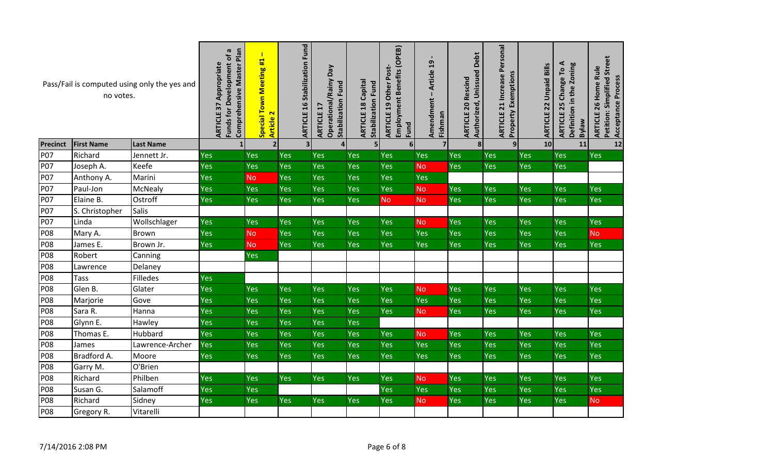| Pass/Fail is computed using only the yes and<br>no votes. |                   |                  | Comprehensive Master Plan<br>G<br>Funds for Development of<br><b>ARTICLE 37 Appropriate</b> | $\mathbf{I}$<br>Special Town Meeting #1<br>Article 2 | <b>ARTICLE 16 Stabilization Fund</b> | Ved<br>Operational/Rainy<br><b>Stabilization Fund</b><br>ARTICLE | <b>ARTICLE 18 Capital</b><br><b>Stabilization Fund</b> | Employment Benefits (OPEB)<br><b>ARTICLE 19 Other Post-</b><br>Fund | Article 19<br>Amendment<br>Fishman | Debt<br>Authorized, Unissued<br><b>ARTICLE 20 Rescind</b> | <b>ARTICLE 21 Increase Personal</b><br><b>Property Exemptions</b> | <b>Unpaid Bills</b><br>ARTICLE 22 | ⋖<br>Definition in the Zoning<br>ARTICLE 25 Change To<br><b>Bylaw</b> | Petition: Simplified Street<br>ARTICLE 26 Home Rule<br>Acceptance Process |
|-----------------------------------------------------------|-------------------|------------------|---------------------------------------------------------------------------------------------|------------------------------------------------------|--------------------------------------|------------------------------------------------------------------|--------------------------------------------------------|---------------------------------------------------------------------|------------------------------------|-----------------------------------------------------------|-------------------------------------------------------------------|-----------------------------------|-----------------------------------------------------------------------|---------------------------------------------------------------------------|
| <b>Precinct</b>                                           | <b>First Name</b> | <b>Last Name</b> |                                                                                             | 2 <sup>1</sup>                                       | 3 <sup>1</sup>                       |                                                                  | $\mathsf{5}$                                           | 6 <sup>1</sup>                                                      | $\overline{\mathbf{z}}$            | $\mathbf{8}$                                              | 9                                                                 | 10                                | 11                                                                    | 12                                                                        |
| P07                                                       | Richard           | Jennett Jr.      | Yes                                                                                         | Yes                                                  | Yes                                  | Yes                                                              | Yes                                                    | Yes                                                                 | Yes                                | Yes                                                       | Yes                                                               | Yes                               | <b>Yes</b>                                                            | Yes                                                                       |
| <b>P07</b>                                                | Joseph A.         | Keefe            | Yes                                                                                         | Yes                                                  | <b>Yes</b>                           | Yes                                                              | Yes                                                    | Yes                                                                 | <b>No</b>                          | Yes                                                       | Yes                                                               | Yes                               | <b>Yes</b>                                                            |                                                                           |
| <b>P07</b>                                                | Anthony A.        | Marini           | Yes                                                                                         | N <sub>o</sub>                                       | Yes                                  | Yes                                                              | Yes                                                    | Yes                                                                 | Yes                                |                                                           |                                                                   |                                   |                                                                       |                                                                           |
| <b>P07</b>                                                | Paul-Jon          | <b>McNealy</b>   | Yes                                                                                         | Yes                                                  | <b>Yes</b>                           | Yes                                                              | <b>Yes</b>                                             | Yes                                                                 | <b>No</b>                          | Yes                                                       | <b>Yes</b>                                                        | Yes                               | <b>Yes</b>                                                            | <b>Yes</b>                                                                |
| <b>P07</b>                                                | Elaine B.         | Ostroff          | Yes                                                                                         | Yes                                                  | <b>Yes</b>                           | Yes                                                              | Yes                                                    | <b>No</b>                                                           | <b>No</b>                          | Yes                                                       | <b>Yes</b>                                                        | <b>Yes</b>                        | <b>Yes</b>                                                            | <b>Yes</b>                                                                |
| <b>P07</b>                                                | S. Christopher    | <b>Salis</b>     |                                                                                             |                                                      |                                      |                                                                  |                                                        |                                                                     |                                    |                                                           |                                                                   |                                   |                                                                       |                                                                           |
| <b>P07</b>                                                | Linda             | Wollschlager     | Yes                                                                                         | Yes                                                  | <b>Yes</b>                           | Yes                                                              | Yes                                                    | Yes                                                                 | <b>No</b>                          | Yes                                                       | Yes                                                               | Yes                               | <b>Yes</b>                                                            | Yes                                                                       |
| <b>P08</b>                                                | Mary A.           | <b>Brown</b>     | Yes                                                                                         | No                                                   | <b>Yes</b>                           | Yes                                                              | Yes                                                    | Yes                                                                 | Yes                                | Yes                                                       | Yes                                                               | Yes                               | <b>Yes</b>                                                            | <b>No</b>                                                                 |
| P08                                                       | James E.          | Brown Jr.        | Yes                                                                                         | <b>No</b>                                            | Yes                                  | Yes                                                              | Yes                                                    | Yes                                                                 | Yes                                | Yes                                                       | Yes                                                               | <b>Yes</b>                        | <b>Yes</b>                                                            | Yes                                                                       |
| <b>P08</b>                                                | Robert            | Canning          |                                                                                             | Yes                                                  |                                      |                                                                  |                                                        |                                                                     |                                    |                                                           |                                                                   |                                   |                                                                       |                                                                           |
| <b>P08</b>                                                | Lawrence          | Delaney          |                                                                                             |                                                      |                                      |                                                                  |                                                        |                                                                     |                                    |                                                           |                                                                   |                                   |                                                                       |                                                                           |
| <b>P08</b>                                                | <b>Tass</b>       | Filledes         | Yes                                                                                         |                                                      |                                      |                                                                  |                                                        |                                                                     |                                    |                                                           |                                                                   |                                   |                                                                       |                                                                           |
| <b>P08</b>                                                | Glen B.           | Glater           | Yes                                                                                         | <b>Yes</b>                                           | Yes                                  | Yes                                                              | Yes                                                    | Yes                                                                 | <b>No</b>                          | Yes                                                       | Yes                                                               | <b>Yes</b>                        | <b>Yes</b>                                                            | Yes                                                                       |
| <b>P08</b>                                                | Marjorie          | Gove             | Yes                                                                                         | Yes                                                  | <b>Yes</b>                           | Yes                                                              | Yes                                                    | Yes                                                                 | Yes                                | Yes                                                       | Yes                                                               | <b>Yes</b>                        | <b>Yes</b>                                                            | Yes                                                                       |
| <b>P08</b>                                                | Sara R.           | Hanna            | Yes                                                                                         | Yes                                                  | Yes                                  | Yes                                                              | Yes                                                    | <b>Yes</b>                                                          | <b>No</b>                          | Yes                                                       | <b>Yes</b>                                                        | <b>Yes</b>                        | <b>Yes</b>                                                            | <b>Yes</b>                                                                |
| <b>P08</b>                                                | Glynn E.          | Hawley           | Yes                                                                                         | Yes                                                  | <b>Yes</b>                           | Yes                                                              | Yes                                                    |                                                                     |                                    |                                                           |                                                                   |                                   |                                                                       |                                                                           |
| <b>P08</b>                                                | Thomas E.         | Hubbard          | Yes                                                                                         | Yes                                                  | <b>Yes</b>                           | Yes                                                              | Yes                                                    | Yes                                                                 | <b>No</b>                          | Yes                                                       | Yes                                                               | Yes                               | <b>Yes</b>                                                            | <b>Yes</b>                                                                |
| <b>P08</b>                                                | James             | Lawrence-Archer  | Yes                                                                                         | Yes                                                  | Yes                                  | Yes                                                              | Yes                                                    | Yes                                                                 | Yes                                | Yes                                                       | Yes                                                               | <b>Yes</b>                        | <b>Yes</b>                                                            | Yes                                                                       |
| <b>P08</b>                                                | Bradford A.       | Moore            | Yes                                                                                         | Yes                                                  | Yes                                  | Yes                                                              | Yes                                                    | <b>Yes</b>                                                          | <b>Yes</b>                         | <b>Yes</b>                                                | Yes                                                               | <b>Yes</b>                        | <b>Yes</b>                                                            | <b>Yes</b>                                                                |
| <b>P08</b>                                                | Garry M.          | O'Brien          |                                                                                             |                                                      |                                      |                                                                  |                                                        |                                                                     |                                    |                                                           |                                                                   |                                   |                                                                       |                                                                           |
| <b>P08</b>                                                | Richard           | Philben          | Yes                                                                                         | Yes                                                  | <b>Yes</b>                           | <b>Yes</b>                                                       | <b>Yes</b>                                             | Yes                                                                 | <b>No</b>                          | Yes                                                       | Yes                                                               | Yes                               | <b>Yes</b>                                                            | Yes                                                                       |
| <b>P08</b>                                                | Susan G.          | Salamoff         | Yes                                                                                         | Yes                                                  |                                      |                                                                  |                                                        | Yes                                                                 | Yes                                | Yes                                                       | Yes                                                               | Yes                               | <b>Yes</b>                                                            | Yes                                                                       |
| <b>P08</b>                                                | Richard           | Sidney           | Yes                                                                                         | Yes                                                  | <b>Yes</b>                           | <b>Yes</b>                                                       | <b>Yes</b>                                             | Yes                                                                 | <b>No</b>                          | Yes                                                       | Yes                                                               | <b>Yes</b>                        | <b>Yes</b>                                                            | <b>No</b>                                                                 |
| <b>P08</b>                                                | Gregory R.        | Vitarelli        |                                                                                             |                                                      |                                      |                                                                  |                                                        |                                                                     |                                    |                                                           |                                                                   |                                   |                                                                       |                                                                           |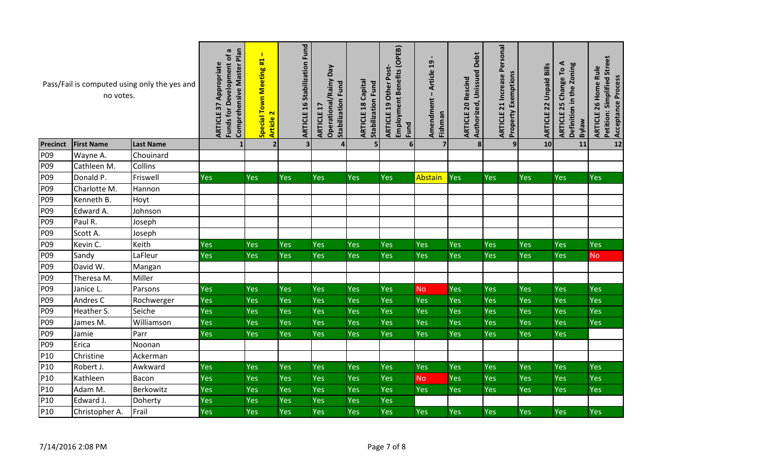| Pass/Fail is computed using only the yes and<br>no votes. |                   |                  | Comprehensive Master Plan<br>Funds for Development of a<br><b>ARTICLE 37 Appropriate</b> | $\blacksquare$<br>Special Town Meeting #1<br>$\overline{\mathbf{r}}$<br><b>Article</b> | <b>ARTICLE 16 Stabilization Fund</b> | Ved<br><b>Operational/Rainy</b><br>Stabilization Fund<br>H<br>ARTICLE | <b>ARTICLE 18 Capital</b><br><b>Stabilization Fund</b> | Employment Benefits (OPEB)<br>ARTICLE 19 Other Post-<br>Fund | - Article 19<br>Amendment<br>Fishman | Debt<br>Authorized, Unissued<br><b>ARTICLE 20 Rescind</b> | 21 Increase Personal<br><b>Property Exemptions</b><br>ARTICLE | Bills<br><b>Unpaid</b><br><b>ARTICLE 22</b> | ⋖<br>Definition in the Zoning<br>Lo<br>Change <sup>-</sup><br>ARTICLE 25<br><b>Bylaw</b> | <b>Petition: Simplified Street</b><br>ARTICLE 26 Home Rule<br>Acceptance Process |
|-----------------------------------------------------------|-------------------|------------------|------------------------------------------------------------------------------------------|----------------------------------------------------------------------------------------|--------------------------------------|-----------------------------------------------------------------------|--------------------------------------------------------|--------------------------------------------------------------|--------------------------------------|-----------------------------------------------------------|---------------------------------------------------------------|---------------------------------------------|------------------------------------------------------------------------------------------|----------------------------------------------------------------------------------|
| <b>Precinct</b>                                           | <b>First Name</b> | <b>Last Name</b> |                                                                                          | $\overline{2}$                                                                         | 3 <sup>1</sup>                       |                                                                       | 5                                                      | $6 \mid$                                                     | 7                                    | 8 <sup>1</sup>                                            | 9                                                             | 10                                          | 11                                                                                       | $12$                                                                             |
| P09                                                       | Wayne A.          | Chouinard        |                                                                                          |                                                                                        |                                      |                                                                       |                                                        |                                                              |                                      |                                                           |                                                               |                                             |                                                                                          |                                                                                  |
| P09                                                       | Cathleen M.       | Collins          |                                                                                          |                                                                                        |                                      |                                                                       |                                                        |                                                              |                                      |                                                           |                                                               |                                             |                                                                                          |                                                                                  |
| P09                                                       | Donald P.         | Friswell         | Yes                                                                                      | Yes                                                                                    | Yes                                  | Yes                                                                   | Yes                                                    | Yes                                                          | <b>Abstain</b>                       | Yes                                                       | Yes                                                           | Yes                                         | Yes                                                                                      | <b>Yes</b>                                                                       |
| P09                                                       | Charlotte M.      | Hannon           |                                                                                          |                                                                                        |                                      |                                                                       |                                                        |                                                              |                                      |                                                           |                                                               |                                             |                                                                                          |                                                                                  |
| P09                                                       | Kenneth B.        | Hoyt             |                                                                                          |                                                                                        |                                      |                                                                       |                                                        |                                                              |                                      |                                                           |                                                               |                                             |                                                                                          |                                                                                  |
| P09                                                       | Edward A.         | Johnson          |                                                                                          |                                                                                        |                                      |                                                                       |                                                        |                                                              |                                      |                                                           |                                                               |                                             |                                                                                          |                                                                                  |
| P09                                                       | Paul R.           | Joseph           |                                                                                          |                                                                                        |                                      |                                                                       |                                                        |                                                              |                                      |                                                           |                                                               |                                             |                                                                                          |                                                                                  |
| P09                                                       | Scott A.          | Joseph           |                                                                                          |                                                                                        |                                      |                                                                       |                                                        |                                                              |                                      |                                                           |                                                               |                                             |                                                                                          |                                                                                  |
| P09                                                       | Kevin C.          | Keith            | <b>Yes</b>                                                                               | Yes                                                                                    | Yes                                  | <b>Yes</b>                                                            | <b>Yes</b>                                             | <b>Yes</b>                                                   | Yes                                  | Yes                                                       | Yes                                                           | <b>Yes</b>                                  | <b>Yes</b>                                                                               | <b>Yes</b>                                                                       |
| P09                                                       | Sandy             | LaFleur          | <b>Yes</b>                                                                               | Yes                                                                                    | Yes                                  | Yes                                                                   | Yes                                                    | Yes                                                          | <b>Yes</b>                           | Yes                                                       | Yes                                                           | <b>Yes</b>                                  | Yes                                                                                      | <b>No</b>                                                                        |
| P09                                                       | David W.          | Mangan           |                                                                                          |                                                                                        |                                      |                                                                       |                                                        |                                                              |                                      |                                                           |                                                               |                                             |                                                                                          |                                                                                  |
| P09                                                       | Theresa M.        | Miller           |                                                                                          |                                                                                        |                                      |                                                                       |                                                        |                                                              |                                      |                                                           |                                                               |                                             |                                                                                          |                                                                                  |
| P09                                                       | Janice L.         | Parsons          | Yes                                                                                      | <b>Yes</b>                                                                             | Yes                                  | Yes                                                                   | <b>Yes</b>                                             | Yes                                                          | <b>No</b>                            | Yes                                                       | Yes                                                           | Yes                                         | Yes                                                                                      | Yes                                                                              |
| P09                                                       | Andres C          | Rochwerger       | <b>Yes</b>                                                                               | Yes                                                                                    | Yes                                  | Yes                                                                   | <b>Yes</b>                                             | Yes                                                          | Yes                                  | Yes                                                       | Yes                                                           | <b>Yes</b>                                  | Yes                                                                                      | Yes                                                                              |
| P09                                                       | Heather S.        | Seiche           | Yes                                                                                      | Yes                                                                                    | Yes                                  | Yes                                                                   | Yes                                                    | Yes                                                          | Yes                                  | Yes                                                       | Yes                                                           | Yes                                         | Yes                                                                                      | Yes                                                                              |
| P09                                                       | James M.          | Williamson       | Yes                                                                                      | Yes                                                                                    | Yes                                  | Yes                                                                   | <b>Yes</b>                                             | Yes                                                          | Yes                                  | Yes                                                       | Yes                                                           | Yes                                         | Yes                                                                                      | <b>Yes</b>                                                                       |
| P09                                                       | Jamie             | Parr             | Yes                                                                                      | <b>Yes</b>                                                                             | Yes                                  | Yes                                                                   | <b>Yes</b>                                             | <b>Yes</b>                                                   | <b>Yes</b>                           | Yes                                                       | Yes                                                           | Yes                                         | <b>Yes</b>                                                                               |                                                                                  |
| P09                                                       | Erica             | Noonan           |                                                                                          |                                                                                        |                                      |                                                                       |                                                        |                                                              |                                      |                                                           |                                                               |                                             |                                                                                          |                                                                                  |
| P10                                                       | Christine         | Ackerman         |                                                                                          |                                                                                        |                                      |                                                                       |                                                        |                                                              |                                      |                                                           |                                                               |                                             |                                                                                          |                                                                                  |
| P10                                                       | Robert J.         | Awkward          | <b>Yes</b>                                                                               | Yes                                                                                    | Yes                                  | Yes                                                                   | Yes                                                    | Yes                                                          | <b>Yes</b>                           | Yes                                                       | Yes                                                           | Yes                                         | Yes                                                                                      | Yes                                                                              |
| P10                                                       | Kathleen          | Bacon            | Yes                                                                                      | Yes                                                                                    | Yes                                  | Yes                                                                   | <b>Yes</b>                                             | <b>Yes</b>                                                   | <b>No</b>                            | Yes                                                       | Yes                                                           | Yes                                         | Yes                                                                                      | <b>Yes</b>                                                                       |
| P10                                                       | Adam M.           | Berkowitz        | Yes                                                                                      | <b>Yes</b>                                                                             | Yes                                  | Yes                                                                   | Yes                                                    | <b>Yes</b>                                                   | <b>Yes</b>                           | Yes                                                       | Yes                                                           | <b>Yes</b>                                  | <b>Yes</b>                                                                               | <b>Yes</b>                                                                       |
| P10                                                       | Edward J.         | Doherty          | <b>Yes</b>                                                                               | Yes                                                                                    | Yes                                  | Yes                                                                   | Yes                                                    | Yes                                                          |                                      |                                                           |                                                               |                                             |                                                                                          |                                                                                  |
| P10                                                       | Christopher A.    | Frail            | <b>Yes</b>                                                                               | Yes                                                                                    | Yes                                  | Yes                                                                   | Yes                                                    | Yes                                                          | <b>Yes</b>                           | Yes                                                       | Yes                                                           | Yes                                         | Yes                                                                                      | Yes                                                                              |